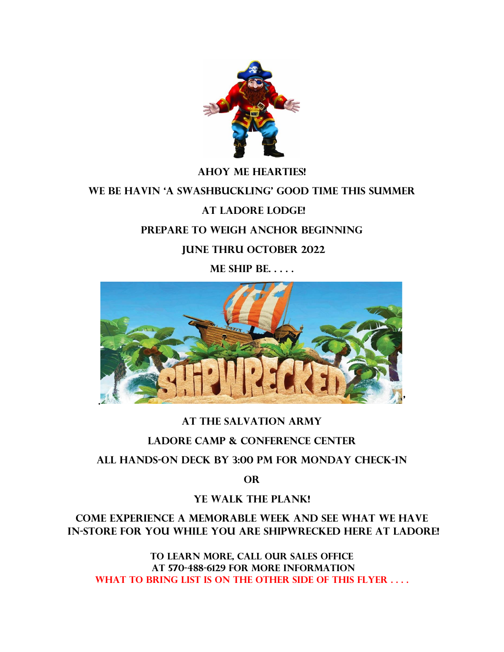

# **Ahoy Me Hearties! We be Havin 'a swashbuckling' good time this summer at Ladore Lodge! Prepare to weigh anchor beginning June thru October 2022 ME SHIP BE. . . . .**



# **at THE SALVATION ARMY**

# **LADORE CAMP & CONFERENCE CENTER**

#### **All hands-on Deck by 3:00 pm FOR MONDAY check-in**

**or** 

# **Ye Walk the Plank!**

# **Come experience a memorable week and see what we have in-store for you WHILE YOU ARE SHIPWRECKED HERE at Ladore!**

**To learn more, call our SALES OFFICE at 570-488-6129 for more information What to bring list is on the other side of this flyer . . . .**